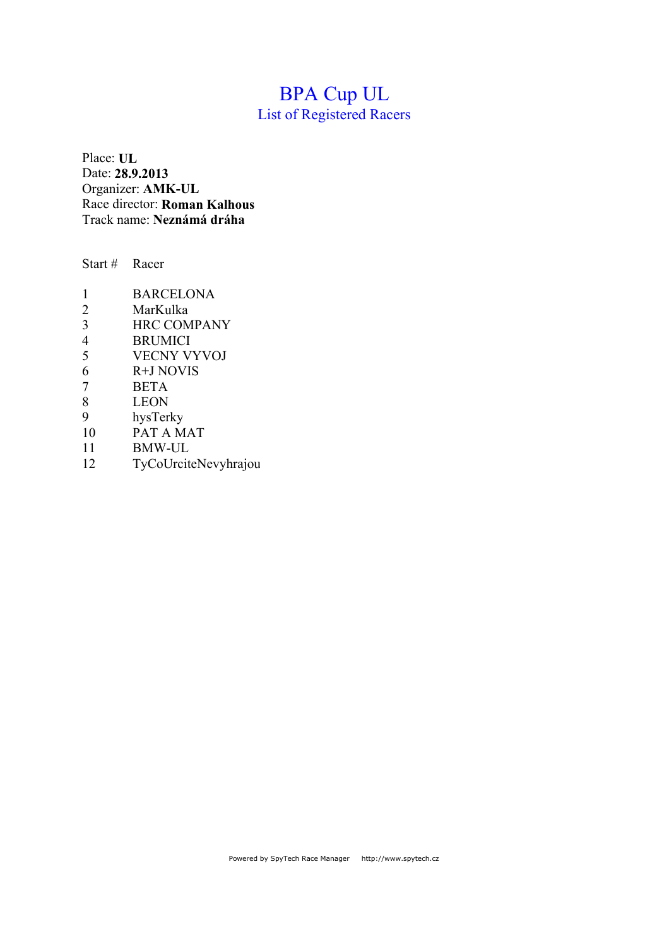# BPA Cup UL

List of Registered Racers

Place: **UL** Date: **28.9.2013** Organizer: **AMK-UL** Race director: **Roman Kalhous** Track name: **Neznámá dráha**

Start # Racer

| 1              | <b>BARCELONA</b>   |
|----------------|--------------------|
| 2              | MarKulka           |
| 3              | <b>HRC COMPANY</b> |
| $\overline{4}$ | <b>BRUMICI</b>     |
| 5              | <b>VECNY VYVOJ</b> |
| 6              | R+J NOVIS          |
| 7              | <b>BETA</b>        |
| 8              | <b>LEON</b>        |
| 9              | hysTerky           |
| 10             | PAT A MAT          |
| 11             | <b>RMW_III</b>     |

11 BMW-UL<br>12 TyCoUrcit 12 TyCoUrciteNevyhrajou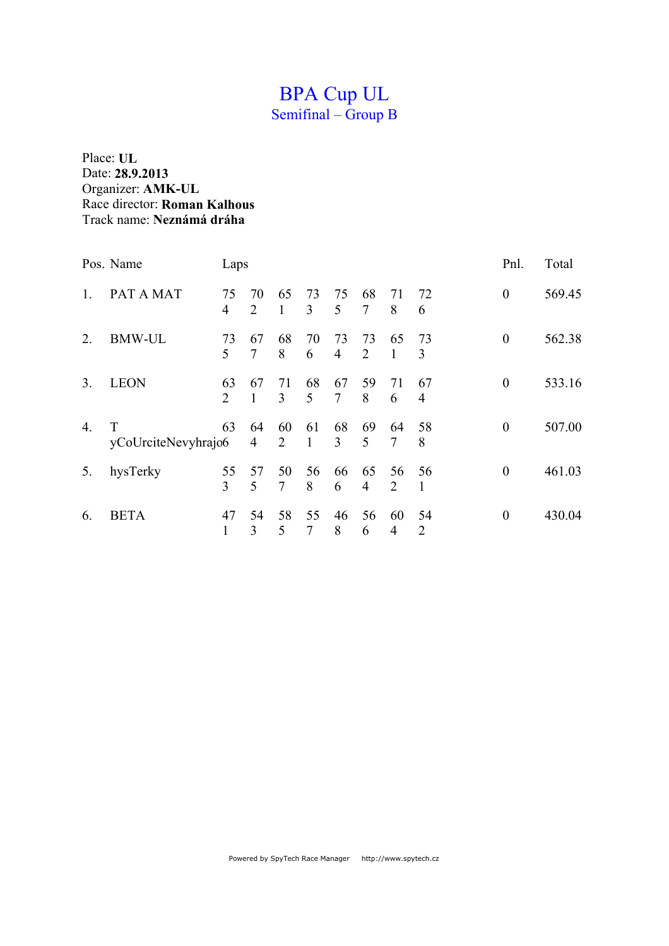## BPA Cup UL Semifinal – Group B

|                  | Pos. Name                | Laps                 |                      |                    |                      |                      |         |                      |                      | Pnl.             | Total  |
|------------------|--------------------------|----------------------|----------------------|--------------------|----------------------|----------------------|---------|----------------------|----------------------|------------------|--------|
| 1.               | PAT A MAT                | 75<br>$\overline{4}$ | 70<br>2              | 65<br>$\mathbf{1}$ | 73<br>3              | 75<br>5              | 68<br>7 | 71<br>8              | 72<br>6              | $\theta$         | 569.45 |
| 2.               | <b>BMW-UL</b>            | 73<br>5              | 67<br>$\overline{7}$ | 68<br>8            | 70<br>6              | 73<br>$\overline{4}$ | 73<br>2 | 65<br>$\mathbf{1}$   | 73<br>3              | $\theta$         | 562.38 |
| 3 <sub>1</sub>   | <b>LEON</b>              | 63<br>2              | 67<br>1              | 71<br>3            | 68<br>5              | 67<br>$\tau$         | 59<br>8 | 71<br>6              | 67<br>$\overline{4}$ | $\boldsymbol{0}$ | 533.16 |
| $\overline{4}$ . | T<br>yCoUrciteNevyhrajo6 | 63                   | 64<br>$\overline{4}$ | 60<br>2            | 61<br>$\mathbf{1}$   | 68<br>3              | 69<br>5 | 64<br>$\overline{7}$ | 58<br>8              | $\theta$         | 507.00 |
| 5.               | hysTerky                 | 55<br>3              | 57<br>5              | 50<br>7            | 56<br>8              | 66<br>6              | 65<br>4 | 56<br>2              | 56                   | $\theta$         | 461.03 |
| 6.               | <b>BETA</b>              | 47                   | 54<br>3              | 58<br>5            | 55<br>$\overline{7}$ | 46<br>8              | 56<br>6 | 60<br>4              | 54<br>2              | $\boldsymbol{0}$ | 430.04 |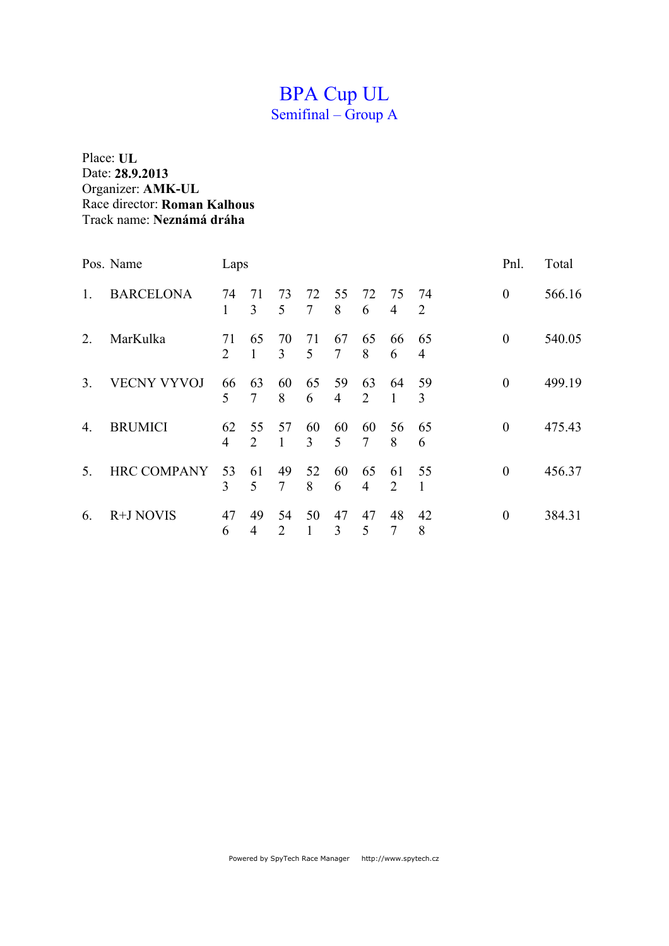# BPA Cup UL

Semifinal – Group A

|                | Pos. Name          | Laps                 |                    |                                   |              |                      |                      |                      |                      | Pnl.           | Total  |
|----------------|--------------------|----------------------|--------------------|-----------------------------------|--------------|----------------------|----------------------|----------------------|----------------------|----------------|--------|
| 1.             | <b>BARCELONA</b>   | 74<br>1              | 71<br>3            | 73<br>5                           | 72<br>$\tau$ | 55<br>8              | 72<br>6              | 75<br>$\overline{4}$ | 74<br>2              | $\theta$       | 566.16 |
| 2.             | MarKulka           | 71<br>$\overline{2}$ | 65<br>$\mathbf{1}$ | 70<br>3                           | 71<br>5      | 67<br>7              | 65<br>8              | 66<br>6              | 65<br>$\overline{4}$ | $\theta$       | 540.05 |
| 3 <sub>1</sub> | <b>VECNY VYVOJ</b> | 66<br>5              | 63<br>7            | 60<br>8                           | 65<br>6      | 59<br>$\overline{4}$ | 63<br>2              | 64<br>1              | 59<br>3              | $\theta$       | 499.19 |
| 4.             | <b>BRUMICI</b>     | 62<br>$\overline{4}$ | 55<br>2            | 57<br>1                           | 60<br>3      | 60<br>5              | 60<br>7              | 56<br>8              | 65<br>6              | $\overline{0}$ | 475.43 |
| 5.             | <b>HRC COMPANY</b> | 53<br>3              | 61<br>5            | 49<br>7                           | 52<br>8      | 60<br>6              | 65<br>$\overline{4}$ | 61<br>2              | 55                   | $\theta$       | 456.37 |
| 6.             | R+J NOVIS          | 47<br>6              | 49<br>4            | 54<br>$\mathcal{D}_{\mathcal{L}}$ | 50<br>1      | 47<br>3              | 47<br>5              | 48<br>7              | 42<br>8              | $\Omega$       | 384.31 |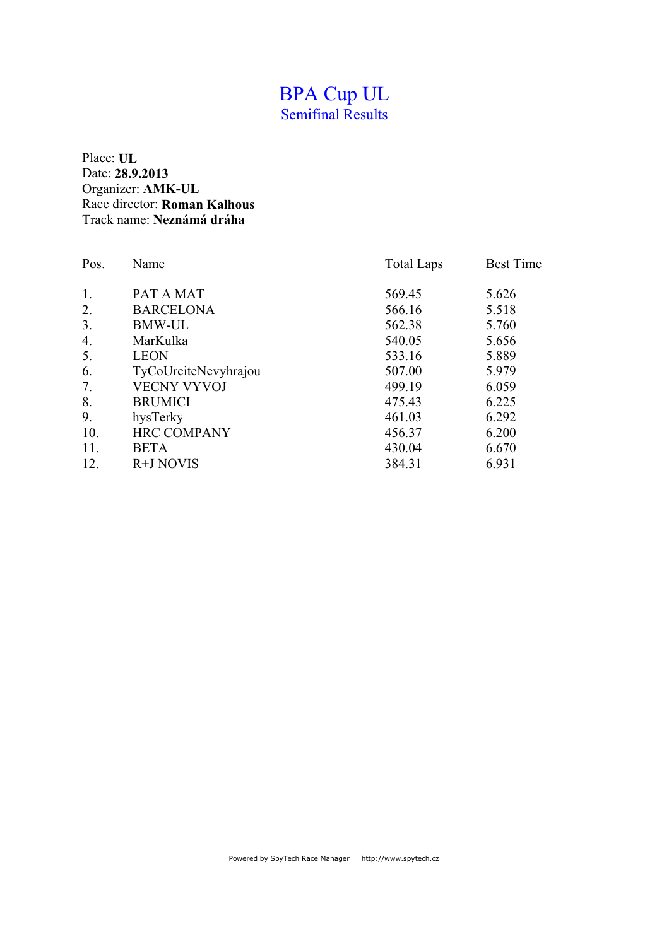#### BPA Cup UL Semifinal Results

| Pos. | Name                 | <b>Total Laps</b> | <b>Best Time</b> |
|------|----------------------|-------------------|------------------|
| 1.   | PAT A MAT            | 569.45            | 5.626            |
| 2.   | <b>BARCELONA</b>     | 566.16            | 5.518            |
| 3.   | <b>BMW-UL</b>        | 562.38            | 5.760            |
| 4.   | MarKulka             | 540.05            | 5.656            |
| 5.   | <b>LEON</b>          | 533.16            | 5.889            |
| 6.   | TyCoUrciteNevyhrajou | 507.00            | 5.979            |
| 7.   | <b>VECNY VYVOJ</b>   | 499.19            | 6.059            |
| 8.   | <b>BRUMICI</b>       | 475.43            | 6.225            |
| 9.   | hysTerky             | 461.03            | 6.292            |
| 10.  | <b>HRC COMPANY</b>   | 456.37            | 6.200            |
| 11.  | <b>BETA</b>          | 430.04            | 6.670            |
| 12.  | R+J NOVIS            | 384.31            | 6.931            |
|      |                      |                   |                  |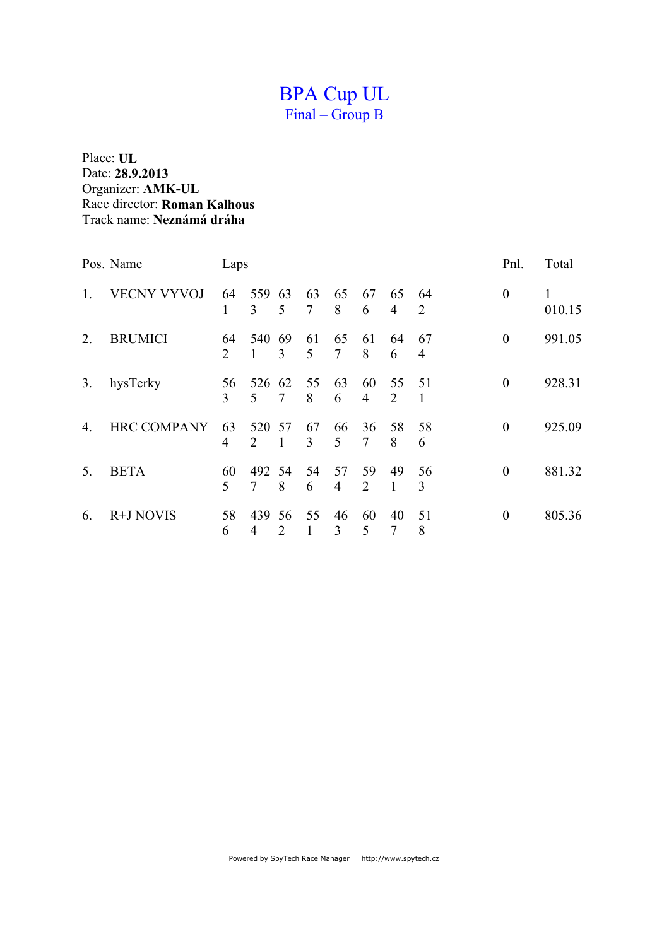## BPA Cup UL Final – Group B

|    | Pos. Name          | Laps                 |          |                    |              |         |                      |                      |                      | Pnl.             | Total       |
|----|--------------------|----------------------|----------|--------------------|--------------|---------|----------------------|----------------------|----------------------|------------------|-------------|
| 1. | <b>VECNY VYVOJ</b> | 64<br>1              | 559<br>3 | 63<br>5            | 63<br>$\tau$ | 65<br>8 | 67<br>6              | 65<br>$\overline{4}$ | 64<br>2              | $\boldsymbol{0}$ | 1<br>010.15 |
| 2. | <b>BRUMICI</b>     | 64<br>2              | 540<br>1 | -69<br>3           | 61<br>5      | 65<br>7 | 61<br>8              | 64<br>6              | 67<br>$\overline{4}$ | $\theta$         | 991.05      |
| 3. | hysTerky           | 56<br>$\overline{3}$ | 526<br>5 | 62<br>7            | 55<br>8      | 63<br>6 | 60<br>$\overline{4}$ | 55<br>2              | 51<br>1              | $\theta$         | 928.31      |
| 4. | <b>HRC COMPANY</b> | 63<br>4              | 520<br>2 | 57<br>$\mathbf{1}$ | 67<br>3      | 66<br>5 | 36<br>7              | 58<br>8              | 58<br>6              | $\theta$         | 925.09      |
| 5. | <b>BETA</b>        | 60<br>5              | 492<br>7 | -54<br>8           | 54<br>6      | 57<br>4 | 59<br>$\overline{2}$ | 49<br>1              | 56<br>3              | $\theta$         | 881.32      |
| 6. | R+J NOVIS          | 58<br>6              | 439<br>4 | 56<br>2            | 55<br>1      | 46<br>3 | 60<br>5              | 40<br>7              | 51<br>8              | $\theta$         | 805.36      |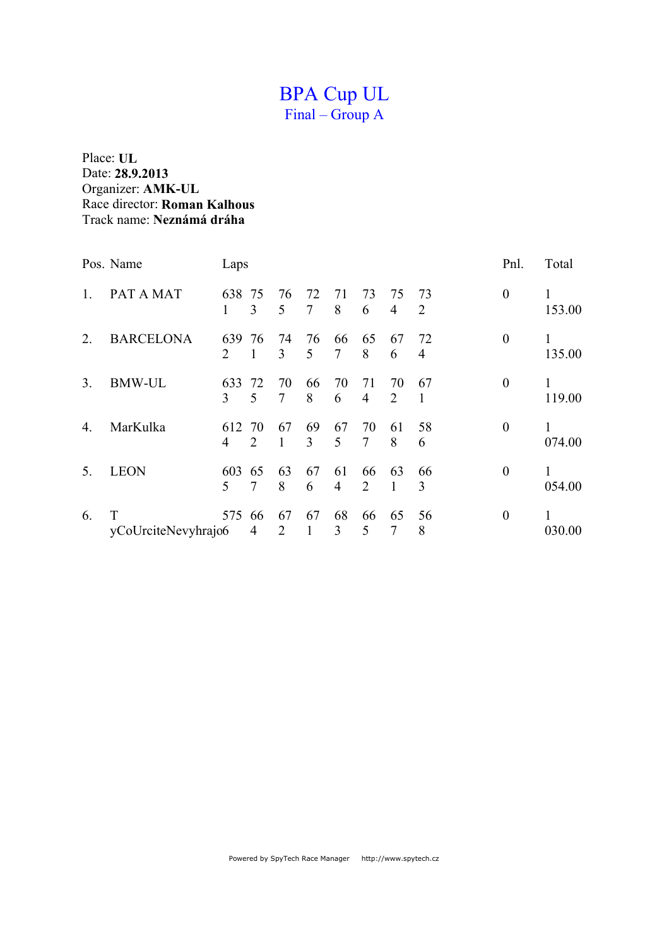## BPA Cup UL Final – Group A

|                | Pos. Name           | Laps     |         |                      |              |         |                      |                      |         | Pnl.             | Total       |
|----------------|---------------------|----------|---------|----------------------|--------------|---------|----------------------|----------------------|---------|------------------|-------------|
| 1              | PAT A MAT           | 638<br>1 | 75<br>3 | 76<br>5              | 72<br>$\tau$ | 71<br>8 | 73<br>6              | 75<br>$\overline{4}$ | 73<br>2 | $\boldsymbol{0}$ | 1<br>153.00 |
| 2.             | <b>BARCELONA</b>    | 639<br>2 | 76      | 74<br>3              | 76<br>5      | 66<br>7 | 65<br>8              | 67<br>6              | 72<br>4 | $\boldsymbol{0}$ | 1<br>135.00 |
| 3 <sub>1</sub> | <b>BMW-UL</b>       | 633<br>3 | 72<br>5 | 70<br>7              | 66<br>8      | 70<br>6 | 71<br>$\overline{4}$ | 70<br>2              | 67      | $\theta$         | 1<br>119.00 |
| 4.             | MarKulka            | 612<br>4 | 70<br>2 | 67<br>1              | 69<br>3      | 67<br>5 | 70<br>7              | 61<br>8              | 58<br>6 | $\theta$         | 1<br>074.00 |
| 5.             | <b>LEON</b>         | 603<br>5 | 65<br>7 | 63<br>8              | 67<br>6      | 61<br>4 | 66<br>2              | 63<br>1              | 66<br>3 | $\overline{0}$   | 1<br>054.00 |
| 6.             | yCoUrciteNevyhrajo6 | 575      | 66<br>4 | 67<br>$\overline{2}$ | 67<br>1      | 68<br>3 | 66<br>5              | 65<br>7              | 56<br>8 | $\boldsymbol{0}$ | 1<br>030.00 |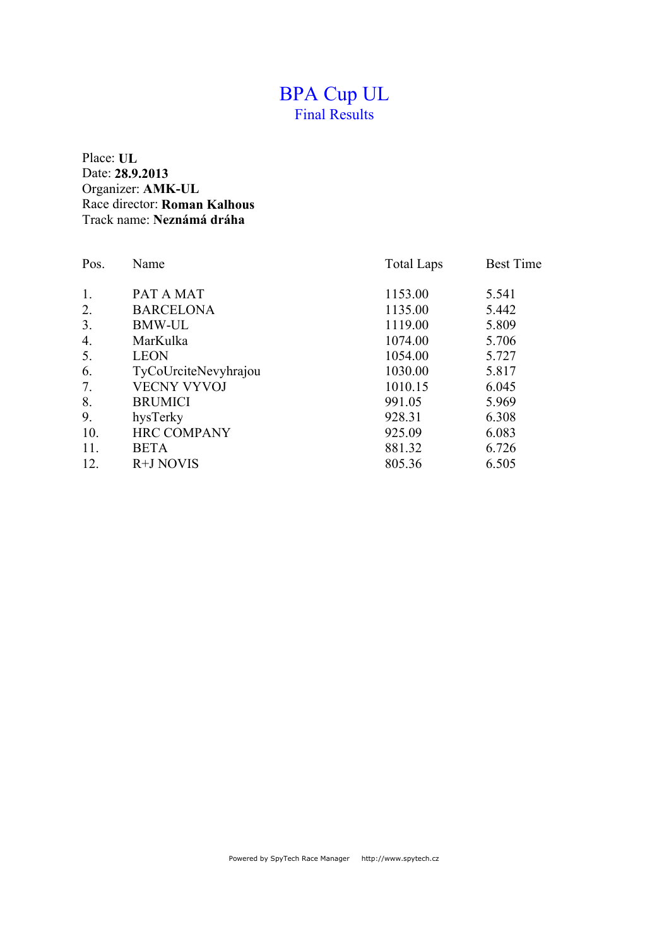#### BPA Cup UL Final Results

| Pos.             | Name                 | <b>Total Laps</b> | <b>Best Time</b> |
|------------------|----------------------|-------------------|------------------|
| 1.               | PAT A MAT            | 1153.00           | 5.541            |
| 2.               | <b>BARCELONA</b>     | 1135.00           | 5.442            |
| 3.               | <b>BMW-UL</b>        | 1119.00           | 5.809            |
| $\overline{4}$ . | MarKulka             | 1074.00           | 5.706            |
| 5.               | <b>LEON</b>          | 1054.00           | 5.727            |
| 6.               | TyCoUrciteNevyhrajou | 1030.00           | 5.817            |
| 7.               | <b>VECNY VYVOJ</b>   | 1010.15           | 6.045            |
| 8.               | <b>BRUMICI</b>       | 991.05            | 5.969            |
| 9.               | hysTerky             | 928.31            | 6.308            |
| 10.              | <b>HRC COMPANY</b>   | 925.09            | 6.083            |
| 11.              | <b>BETA</b>          | 881.32            | 6.726            |
| 12.              | R+J NOVIS            | 805.36            | 6.505            |